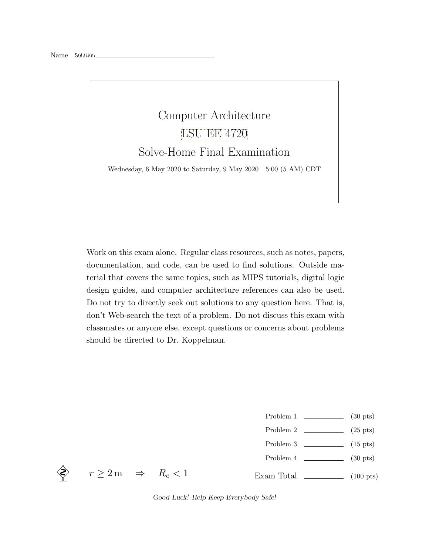

Work on this exam alone. Regular class resources, such as notes, papers, documentation, and code, can be used to find solutions. Outside material that covers the same topics, such as MIPS tutorials, digital logic design guides, and computer architecture references can also be used. Do not try to directly seek out solutions to any question here. That is, don't Web-search the text of a problem. Do not discuss this exam with classmates or anyone else, except questions or concerns about problems should be directed to Dr. Koppelman.

- Problem 1 (30 pts)
- Problem 2  $\qquad \qquad$  (25 pts)
- Problem 3  $\qquad \qquad$  (15 pts)
- Problem 4 (30 pts)
- Exam Total  $\qquad \qquad$  (100 pts)



 $r \geq 2 \,\mathrm{m} \Rightarrow R_e < 1$ 

Good Luck! Help Keep Everybody Safe!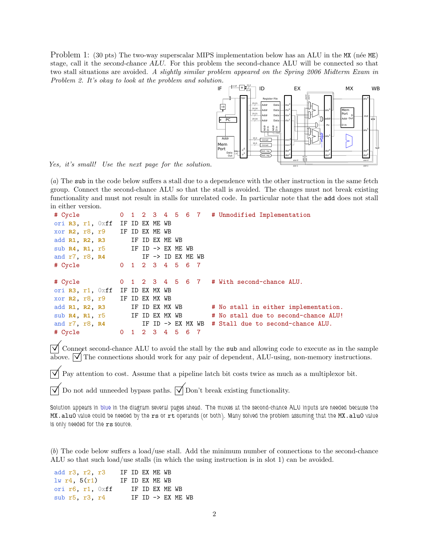Problem 1: (30 pts) The two-way superscalar MIPS implementation below has an ALU in the MX (née ME) stage, call it the second-chance ALU. For this problem the second-chance ALU will be connected so that two stall situations are avoided. A slightly similar problem appeared on the Spring 2006 Midterm Exam in Problem 2. It's okay to look at the problem and solution.



Yes, it's small! Use the next page for the solution.

(a) The sub in the code below suffers a stall due to a dependence with the other instruction in the same fetch group. Connect the second-chance ALU so that the stall is avoided. The changes must not break existing functionality and must not result in stalls for unrelated code. In particular note that the add does not stall in either version.

```
# Cycle 0 1 2 3 4 5 6 7 # Unmodified Implementation
ori R3, r1, 0xff IF ID EX ME WB
xor R2, r8, r9 IF ID EX ME WB
add R1, R2, R3 IF ID EX ME WB
sub R4, R1, r5 IF ID -> EX ME WB
and r7, r8, R4 IF -> ID EX ME WB
# Cycle 0 1 2 3 4 5 6 7
# Cycle 0 1 2 3 4 5 6 7 # With second-chance ALU.
ori R3, r1, 0xff IF ID EX MX WB
xor R2, r8, r9 IF ID EX MX WB
add R1, R2, R3 IF ID EX MX WB # No stall in either implementation.
sub R4, R1, r5 IF ID EX MX WB # No stall due to second-chance ALU!
and r7, r8, R4 IF ID -> EX MX WB # Stall due to second-chance ALU.
# Cycle 0 1 2 3 4 5 6 7
```
 $\sqrt{\ }$  Connect second-chance ALU to avoid the stall by the sub and allowing code to execute as in the sample above.  $\sqrt{\ }$  The connections should work for any pair of dependent, ALU-using, non-memory instructions. above.  $\sqrt{\ }$  The connections should work for any pair of dependent, ALU-using, non-memory instructions.

 $\triangledown$  Pay attention to cost. Assume that a pipeline latch bit costs twice as much as a multiplexor bit.

Do not add unneeded bypass paths.  $\mathcal{V}$  Don't break existing functionality.

Solution appears in blue in the diagram several pages ahead. The muxes at the second-chance ALU inputs are needed because the MX.alu0 value could be needed by the rs or rt operands (or both). Many solved the problem assuming that the MX.alu0 value is only needed for the rs source.

(b) The code below suffers a load/use stall. Add the minimum number of connections to the second-chance ALU so that such load/use stalls (in which the using instruction is in slot 1) can be avoided.

| add r3, r2, r3           |  | IF ID EX ME WB |                                        |  |
|--------------------------|--|----------------|----------------------------------------|--|
| 1w r4, 5(r1)             |  | IF ID EX ME WB |                                        |  |
| ori $r6$ , $r1$ , $0xff$ |  | IF ID EX ME WB |                                        |  |
| sub r5, r3, r4           |  |                | $TF$ $TD$ $\rightarrow$ $FX$ $MF$ . WB |  |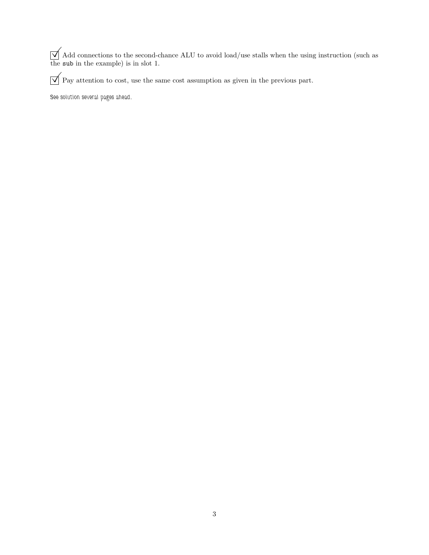$\bigvee$  Add connections to the second-chance ALU to avoid load/use stalls when the using instruction (such as the sub in the example) is in slot 1.

 $\mathbf{p}$  Pay attention to cost, use the same cost assumption as given in the previous part.

See solution several pages ahead.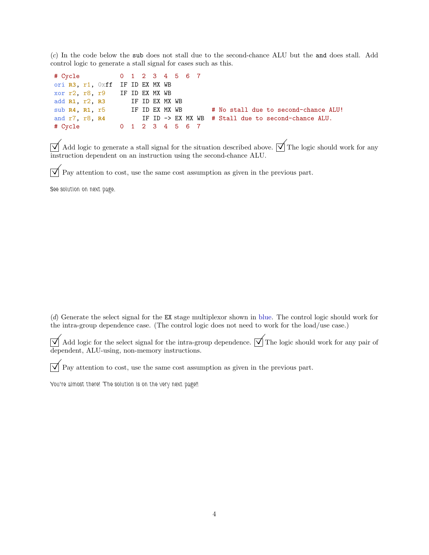(c) In the code below the sub does not stall due to the second-chance ALU but the and does stall. Add control logic to generate a stall signal for cases such as this.

| # Cycle 0 1 2 3 4 5 6 7         |  |  |  |  |                                                     |
|---------------------------------|--|--|--|--|-----------------------------------------------------|
| ori R3, r1, Oxff IF ID EX MX WB |  |  |  |  |                                                     |
| xor r2, r8, r9 IF ID EX MX WB   |  |  |  |  |                                                     |
| add R1, r2, R3 IF ID EX MX WB   |  |  |  |  |                                                     |
| sub R4, R1, r5 IF ID EX MX WB   |  |  |  |  | # No stall due to second-chance ALU!                |
| and r7, r8, R4                  |  |  |  |  | IF ID -> EX MX WB # Stall due to second-chance ALU. |
| # Cycle 0 1 2 3 4 5 6 7         |  |  |  |  |                                                     |

 $\bigvee$  Add logic to generate a stall signal for the situation described above.  $\bigvee$  The logic should work for any instruction dependent on an instruction using the second-chance ALU.

 $\overline{\vee}$  Pay attention to cost, use the same cost assumption as given in the previous part.

See solution on next page.

(d) Generate the select signal for the EX stage multiplexor shown in blue. The control logic should work for the intra-group dependence case. (The control logic does not need to work for the load/use case.)

 $\bigvee$  Add logic for the select signal for the intra-group dependence.  $\bigvee$  The logic should work for any pair of dependent, ALU-using, non-memory instructions.

 $\overline{\vee}$  Pay attention to cost, use the same cost assumption as given in the previous part.

You're almost there! The solution is on the very next page!!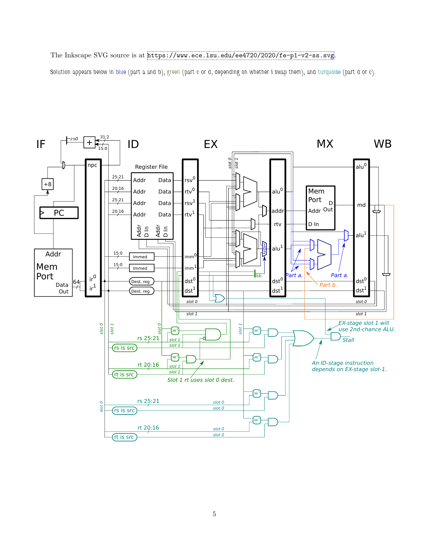## The Inkscape SVG source is at <https://www.ece.lsu.edu/ee4720/2020/fe-p1-v2-ss.svg>.

Solution appears below in blue (part a and b), green (part c or d, depending on whether I swap them), and turquoise (part d or c).

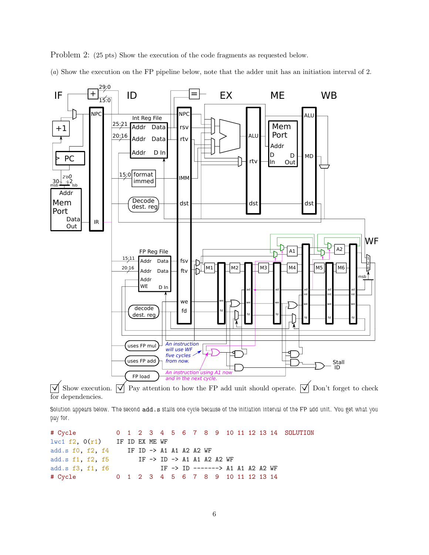Problem 2: (25 pts) Show the execution of the code fragments as requested below.

(a) Show the execution on the FP pipeline below, note that the adder unit has an initiation interval of 2.



for dependencies.

Solution appears below. The second add.s stalls one cycle because of the initiation interval of the FP add unit. You get what you pay for.

```
# Cycle 0 1 2 3 4 5 6 7 8 9 10 11 12 13 14 SOLUTION
lwc1 f2, 0(r1) IF ID EX ME WF
add.s f0, f2, f4 IF ID -> A1 A1 A2 A2 WF
add.s f1, f2, f5 IF -> ID -> A1 A1 A2 A2 WF
add.s f3, f1, f6 IF -> ID -------> A1 A1 A2 A2 WF
# Cycle 0 1 2 3 4 5 6 7 8 9 10 11 12 13 14
```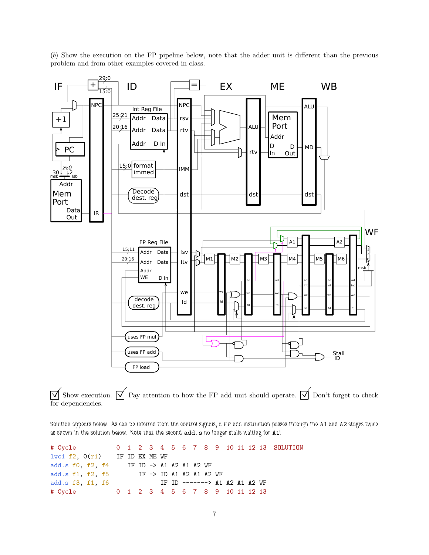(b) Show the execution on the FP pipeline below, note that the adder unit is different than the previous problem and from other examples covered in class.



 $\overline{\vee}$  Show execution.  $\overline{\vee}$  Pay attention to how the FP add unit should operate.  $\overline{\vee}$  Don't forget to check for dependencies.

Solution appears below. As can be inferred from the control signals, a FP add instruction passes through the A1 and A2 stages twice as shown in the solution below. Note that the second  $\mathbf{add.s}$  no longer stalls waiting for  $\mathbf{A1}!$ 

| # Cycle 0 1 2 3 4 5 6 7 8 9 10 11 12 13 SOLUTION                                                                                                                                                                               |                               |  |  |  |  |  |  |                                 |  |
|--------------------------------------------------------------------------------------------------------------------------------------------------------------------------------------------------------------------------------|-------------------------------|--|--|--|--|--|--|---------------------------------|--|
| $1\text{wcl } f2$ , $0(r1)$ IF ID EX ME WF                                                                                                                                                                                     |                               |  |  |  |  |  |  |                                 |  |
| add.s f0, f2, f4 IF ID $\rightarrow$ A1 A2 A1 A2 WF                                                                                                                                                                            |                               |  |  |  |  |  |  |                                 |  |
| add.s f1, f2, f5 IF $\rightarrow$ ID A1 A2 A1 A2 WF                                                                                                                                                                            |                               |  |  |  |  |  |  |                                 |  |
| add.s f3, f1, f6                                                                                                                                                                                                               | IF ID -------> A1 A2 A1 A2 WF |  |  |  |  |  |  |                                 |  |
| # Cycle to the set of the set of the set of the set of the set of the set of the set of the set of the set of the set of the set of the set of the set of the set of the set of the set of the set of the set of the set of th |                               |  |  |  |  |  |  | 0 1 2 3 4 5 6 7 8 9 10 11 12 13 |  |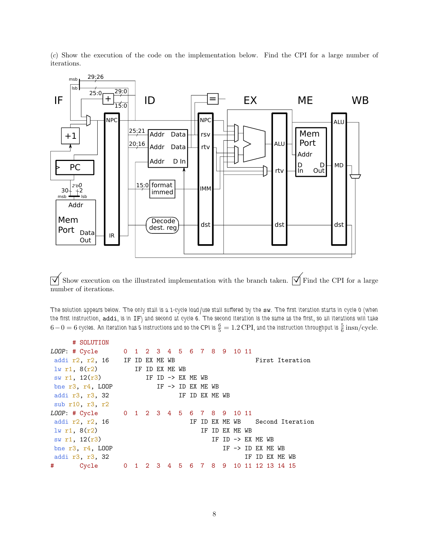(c) Show the execution of the code on the implementation below. Find the CPI for a large number of iterations.



 $\overline{\sqrt{\ }}$  Show execution on the illustrated implementation with the branch taken.  $\overline{\sqrt{\ }}$  Find the CPI for a large number of iterations.

The solution appears below. The only stall is a 1-cycle load/use stall suffered by the sw. The first iteration starts in cycle 0 (when the first instruction, addi, is in IF) and second at cycle 6. The second iteration is the same as the first, so all iterations will take  $6-0=6$  eyeles. An iteration has 5 instructions and so the CPI is  $\frac{6}{5}=1.2$  CPI, and the instruction throughput is  $\frac{5}{6}$   $\rm{insn/cycle}$ .

|   | # SOLUTION                              |  |                   |  |                              |                              |  |                                       |                  |  |
|---|-----------------------------------------|--|-------------------|--|------------------------------|------------------------------|--|---------------------------------------|------------------|--|
|   | LOOP: # Cycle                           |  |                   |  |                              | 0 1 2 3 4 5 6 7 8 9 10 11    |  |                                       |                  |  |
|   | addi $r2$ , $r2$ , 16 IF ID EX ME WB    |  |                   |  |                              |                              |  |                                       | First Iteration  |  |
|   | 1w r1, 8(r2)                            |  | IF ID EX ME WB    |  |                              |                              |  |                                       |                  |  |
|   | sw $r1$ , $12(r3)$                      |  | IF ID -> EX ME WB |  |                              |                              |  |                                       |                  |  |
|   | bne $r3, r4, L00P$                      |  |                   |  | IF $\rightarrow$ ID EX ME WB |                              |  |                                       |                  |  |
|   | addi r3, r3, 32                         |  |                   |  | IF ID EX ME WB               |                              |  |                                       |                  |  |
|   | sub r10, r3, r2                         |  |                   |  |                              |                              |  |                                       |                  |  |
|   | LOOP: # Cycle 0 1 2 3 4 5 6 7 8 9 10 11 |  |                   |  |                              |                              |  |                                       |                  |  |
|   | addi r2, r2, 16                         |  |                   |  |                              | IF ID EX ME WB               |  |                                       | Second Iteration |  |
|   | $lw$ r1, $8(r2)$                        |  |                   |  |                              | IF ID EX ME WB               |  |                                       |                  |  |
|   | sw r1, $12(r3)$                         |  |                   |  |                              | IF ID $\rightarrow$ EX ME WB |  |                                       |                  |  |
|   | bne $r3, r4, LOOP$                      |  |                   |  |                              |                              |  | IF $\rightarrow$ ID EX ME WB          |                  |  |
|   | addi r3, r3, 32                         |  |                   |  |                              |                              |  | IF ID EX ME WB                        |                  |  |
| # | Cycle                                   |  |                   |  |                              |                              |  | 0 1 2 3 4 5 6 7 8 9 10 11 12 13 14 15 |                  |  |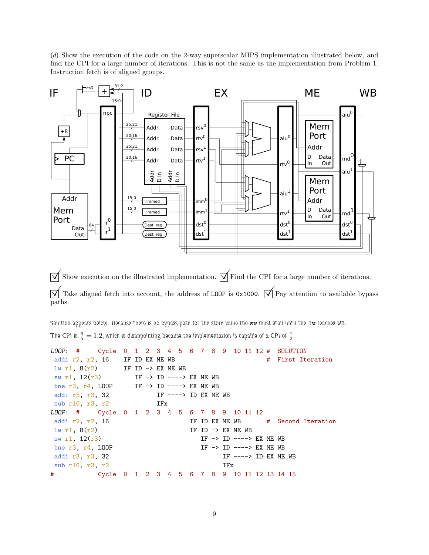(d) Show the execution of the code on the 2-way superscalar MIPS implementation illustrated below, and find the CPI for a large number of iterations. This is not the same as the implementation from Problem 1. Instruction fetch is of aligned groups.



 $\overline{\vee}$  Show execution on the illustrated implementation.  $\overline{\vee}$  Find the CPI for a large number of iterations.  $\overline{\vee}$  Take aligned fetch into account, the address of LOOP is 0x1000.  $\overline{\vee}$  Pay attention to available bypass paths.

Solution appears below. Because there is no bypass path for the store value the sw must stall until the  $1w$  reaches WB. The CPI is  $\frac{6}{5} = 1.2$ , which is disappointing because the implementation is capable of a CPI of  $\frac{1}{2}$ .

```
LOOP: # Cycle 0 1 2 3 4 5 6 7 8 9 10 11 12 # SOLUTION
addi r2, r2, 16 IF ID EX ME WB \qquad # First Iteration
lw r1, 8(r2) IF ID -> EX ME WB
sw r1, 12(r3) IF -> ID ----> EX ME WB
bne r3, r4, LOOP IF -> ID ----> EX ME WB
addi r3, r3, 32 IF ----> ID EX ME WB
sub r10, r3, r2 IFx
LOOP: # Cycle 0 1 2 3 4 5 6 7 8 9 10 11 12
addi r2, r2, 16 I IF ID EX ME WB \# Second Iteration
\ln r1, 8(r2) IF ID -> EX ME WB
sw r1, 12(r3) IF -> ID ----> EX ME WB
bne r3, r4, LOOP IF \rightarrow ID \rightarrow ---\rightarrow EX ME WB
addi r3, r3, 32 IF ----> ID EX ME WB
sub r10, r3, r2 IFx
# Cycle 0 1 2 3 4 5 6 7 8 9 10 11 12 13 14 15
```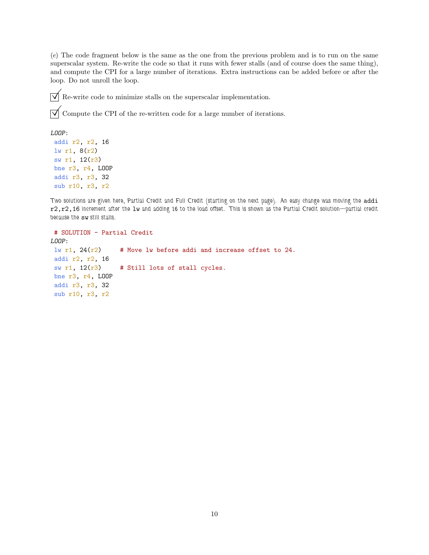(e) The code fragment below is the same as the one from the previous problem and is to run on the same superscalar system. Re-write the code so that it runs with fewer stalls (and of course does the same thing), and compute the CPI for a large number of iterations. Extra instructions can be added before or after the loop. Do not unroll the loop.

 $\overrightarrow{\mathsf{M}}$  Re-write code to minimize stalls on the superscalar implementation.

 $\overrightarrow{\mathcal{A}}$  Compute the CPI of the re-written code for a large number of iterations.

```
LOOP:
```

```
addi r2, r2, 16
lw r1, 8(r2)
sw r1, 12(r3)
bne r3, r4, LOOP
addi r3, r3, 32
sub r10, r3, r2
```
Two solutions are given here, Partial Credit and Full Credit (starting on the next page). An easy change was moving the addi r2,r2,16 increment after the lw and adding 16 to the load offset. This is shown as the Partial Credit solution—partial credit because the sw still stalls.

```
# SOLUTION - Partial Credit
LOOP:
lw r1, 24(r2) # Move lw before addi and increase offset to 24.
addi r2, r2, 16
sw r1, 12(r3) # Still lots of stall cycles.
bne r3, r4, LOOP
addi r3, r3, 32
sub r10, r3, r2
```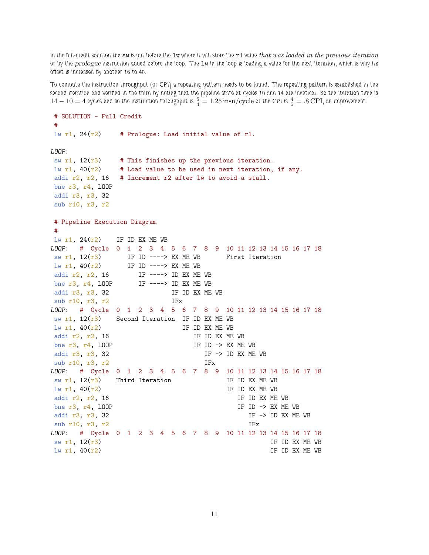In the full-credit solution the sw is put before the  $1w$  where it will store the r1 value that was loaded in the previous iteration or by the prologue instruction added before the loop. The lw in the loop is loading a value for the next iteration, which is why its offset is increased by another 16 to 40.

To compute the instruction throughput (or CPI) a repeating pattern needs to be found. The repeating pattern is established in the second iteration and verified in the third by noting that the pipeline state at cycles 10 and 14 are identical. So the iteration time is  $14-10=4$  cycles and so the instruction throughput is  $\frac{5}{4}=1.25\,\text{insn/cycle}$  or the CPI is  $\frac{4}{5}=.8$  CPI, an improvement.

```
# SOLUTION - Full Credit
#
lw r1, 24(r2) # Prologue: Load initial value of r1.
LOOP:
sw r1, 12(r3) # This finishes up the previous iteration.
lw r1, 40(r2) # Load value to be used in next iteration, if any.
addi r2, r2, 16 # Increment r2 after lw to avoid a stall.
bne r3, r4, LOOP
addi r3, r3, 32
sub r10, r3, r2
# Pipeline Execution Diagram
#
lw r1, 24(r2) IF ID EX ME WB
LOOP: # Cycle 0 1 2 3 4 5 6 7 8 9 10 11 12 13 14 15 16 17 18
sw r1, 12(r3) IF ID ----> EX ME WB First Iteration
\frac{1}{2} IV r1, 40(r2) IF ID ----> EX ME WB<br>addi r2, r2, 16 IF ----> ID EX ME
                IF ----> ID EX ME WBbne r3, r4, LOOP IF ----> ID EX ME WB
addi r3, r3, 32 IF ID EX ME WB
sub r10, r3, r2 IFx
LOOP: # Cycle 0 1 2 3 4 5 6 7 8 9 10 11 12 13 14 15 16 17 18
sw r1, 12(r3) Second Iteration IF ID EX ME WB
\frac{1}{w} r1, 40(r2) IF ID EX ME WB
addi r2, r2, 16 IF ID EX ME WB
bne r3, r4, LOOP IF ID \rightarrow EX ME WB
addi r3, r3, 32 IF -> ID EX ME WB
sub r10, r3, r2 IFx
LOOP: # Cycle 0 1 2 3 4 5 6 7 8 9 10 11 12 13 14 15 16 17 18
sw r1, 12(r3) Third Iteration IF ID EX ME WB
\ln r1, 40(r2) IF ID EX ME WB
addi r2, r2, 16 IF ID EX ME WB
bne r3, r4, LOOP IF ID \rightarrow EX ME WB
addi r3, r3, 32 IF \rightarrow ID EX ME WBsub r10, r3, r2 IFxLOOP: # Cycle 0 1 2 3 4 5 6 7 8 9 10 11 12 13 14 15 16 17 18
\mathbb{S}_{\mathbb{W}} r1, 12(r3) IF ID EX ME WB
\frac{1}{W} r1, 40(r2) IF ID EX ME WB
```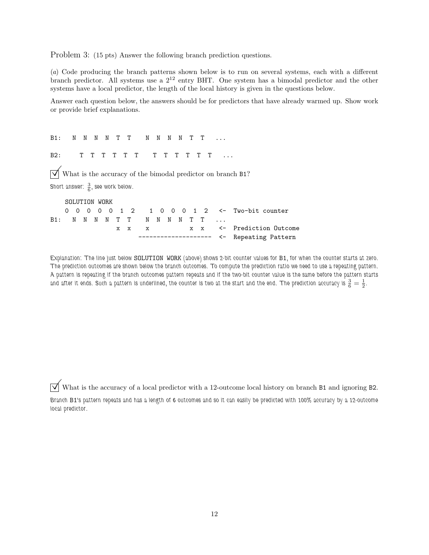Problem 3: (15 pts) Answer the following branch prediction questions.

(a) Code producing the branch patterns shown below is to run on several systems, each with a different branch predictor. All systems use a  $2^{12}$  entry BHT. One system has a bimodal predictor and the other systems have a local predictor, the length of the local history is given in the questions below.

Answer each question below, the answers should be for predictors that have already warmed up. Show work or provide brief explanations.

B1: N N N N T T N N N N T T ... B2: T T T T T T T T T T T T ...  $\overrightarrow{V}$  What is the accuracy of the bimodal predictor on branch B1? Short answer:  $\frac{3}{6}$ , see work below. SOLUTION WORK 0 0 0 0 0 1 2 1 0 0 0 1 2 <- Two-bit counter B1: N N N N T T N N N N T T ... x x x x x <- Prediction Outcome

Explanation: The line just below SOLUTION WORK (above) shows 2-bit counter values for B1, for when the counter starts at zero. The prediction outcomes are shown below the branch outcomes. To compute the prediction ratio we need to use a repeating pattern. A pattern is repeating if the branch outcomes pattern repeats and if the two-bit counter value is the same before the pattern starts and after it ends. Such a pattern is underlined, the counter is two at the start and the end. The prediction accuracy is  $\frac{3}{6}=\frac{1}{2}.$ 

------- <- Repeating Pattern

 $\triangledown$  What is the accuracy of a local predictor with a 12-outcome local history on branch B1 and ignoring B2.

Branch B1's pattern repeats and has a length of 6 outcomes and so it can easily be predicted with 100% accuracy by a 12-outcome local predictor.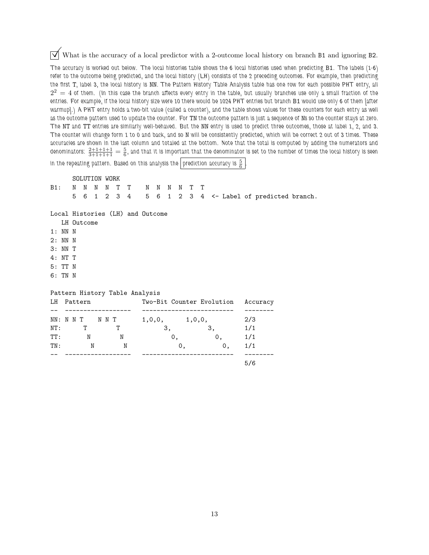$\overrightarrow{\mathcal{A}}$  What is the accuracy of a local predictor with a 2-outcome local history on branch B1 and ignoring B2. The accuracy is worked out below. The local histories table shows the 6 local histories used when predicting B1. The labels (1-6) refer to the outcome being predicted, and the local history (LH) consists of the 2 preceding outcomes. For example, then predicting the first T, label 3, the local history is NN. The Pattern History Table Analysis table has one row for each possible PHT entry, all  $2^2\,=\,4$  of them. (In this case the branch affects every entry in the table, but usually branches use only a small fraction of the entries. For example, if the local history size were 10 there would be 1024 PHT entries but branch B1 would use only 6 of them [after warmup].) A PHT entry holds a two-bit value (called a counter), and the table shows values for these counters for each entry as well as the outcome pattern used to update the counter. For TN the outcome pattern is just a sequence of Ns so the counter stays at zero. The NT and TT entries are similarly well-behaved. But the NN entry is used to predict three outcomes, those at label 1, 2, and 3. The counter will change form 1 to 0 and back, and so N will be consistently predicted, which will be correct 2 out of 3 times. These accuracies are shown in the last column and totaled at the bottom. Note that the total is computed by adding the numerators and denominators:  $\frac{2+1+1+1}{3+1+1+1}=\frac{5}{6}$ , and that it is important that the denominator is set to the number of times the local history is seen

in the repeating pattern. Based on this analysis the  $\lfloor$  prediction accuracy is  $\frac{5}{6}$ .

|                                  |   | <b>SOLUTION WORK</b> |     |   |             |                   |    |    |  |    |                           |     |                                                       |  |
|----------------------------------|---|----------------------|-----|---|-------------|-------------------|----|----|--|----|---------------------------|-----|-------------------------------------------------------|--|
| B1:                              | N |                      | N N |   | NTT NNNNTT  |                   |    |    |  |    |                           |     |                                                       |  |
|                                  |   |                      |     |   |             |                   |    |    |  |    |                           |     | 5 6 1 2 3 4 5 6 1 2 3 4 <- Label of predicted branch. |  |
|                                  |   |                      |     |   |             |                   |    |    |  |    |                           |     |                                                       |  |
| Local Histories (LH) and Outcome |   |                      |     |   |             |                   |    |    |  |    |                           |     |                                                       |  |
|                                  |   | LH Outcome           |     |   |             |                   |    |    |  |    |                           |     |                                                       |  |
| $1:NN$ N                         |   |                      |     |   |             |                   |    |    |  |    |                           |     |                                                       |  |
| 2: NN N                          |   |                      |     |   |             |                   |    |    |  |    |                           |     |                                                       |  |
| 3: NN T                          |   |                      |     |   |             |                   |    |    |  |    |                           |     |                                                       |  |
| 4: NT T                          |   |                      |     |   |             |                   |    |    |  |    |                           |     |                                                       |  |
| 5: TT N                          |   |                      |     |   |             |                   |    |    |  |    |                           |     |                                                       |  |
| 6: TN N                          |   |                      |     |   |             |                   |    |    |  |    |                           |     |                                                       |  |
|                                  |   |                      |     |   |             |                   |    |    |  |    |                           |     |                                                       |  |
| Pattern History Table Analysis   |   |                      |     |   |             |                   |    |    |  |    |                           |     |                                                       |  |
| LH                               |   | Pattern              |     |   |             |                   |    |    |  |    | Two-Bit Counter Evolution |     | Accuracy                                              |  |
|                                  |   |                      |     |   |             |                   |    |    |  |    |                           |     |                                                       |  |
| NN: N N T N N T                  |   |                      |     |   |             | $1,0,0,$ $1,0,0,$ |    |    |  |    |                           | 2/3 |                                                       |  |
| NT:                              |   | T                    |     | T |             |                   | 3, |    |  | 3, |                           | 1/1 |                                                       |  |
| TT: N N                          |   |                      |     |   |             |                   |    | 0, |  |    | 0, 1/1                    |     |                                                       |  |
| TN:                              |   |                      | N   |   | $\mathbf N$ |                   |    | 0, |  |    | 0, 1/1                    |     |                                                       |  |
|                                  |   |                      |     |   |             |                   |    |    |  |    |                           | 5/6 |                                                       |  |
|                                  |   |                      |     |   |             |                   |    |    |  |    |                           |     |                                                       |  |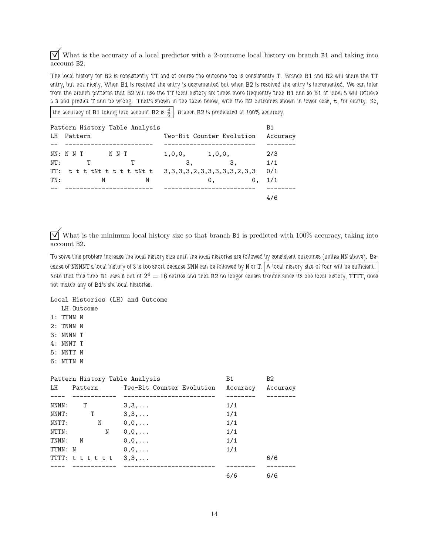$\overrightarrow{\mathcal{A}}$  What is the accuracy of a local predictor with a 2-outcome local history on branch B1 and taking into account B2.

The local history for B2 is consistently TT and of course the outcome too is consistently T. Branch B1 and B2 will share the TT entry, but not nicely. When B1 is resolved the entry is decremented but when B2 is resolved the entry is incremented. We can infer from the branch patterns that B2 will use the TT local history six times more frequently than B1 and so B1 at label 5 will retrieve a 3 and predict T and be wrong. That's shown in the table below, with the B2 outcomes shown in lower case, t, for clarity. So,

the accuracy of B1 taking into account B2 is  $\frac{4}{6}$ . Branch B2 is predicated at 100% accuracy.

| LH  | Pattern History Table Analysis<br>Pattern |                   | Two-Bit Counter Evolution | Β1<br>Accuracy |
|-----|-------------------------------------------|-------------------|---------------------------|----------------|
|     |                                           |                   |                           |                |
|     | NN: N N T<br>NNT                          | $1,0,0,$ $1,0,0,$ |                           | 2/3            |
| NT: | т<br>т                                    | 3.                | 3,                        | 1/1            |
|     |                                           |                   |                           | 0/1            |
| TN: | N<br>N                                    |                   | 0 <sub>1</sub>            | 1/1<br>0,      |
|     |                                           |                   |                           |                |
|     |                                           |                   |                           |                |

 $\overrightarrow{\mathcal{A}}$  What is the minimum local history size so that branch B1 is predicted with 100% accuracy, taking into account B2.

To solve this problem increase the local history size until the local histories are followed by consistent outcomes (unlike NN above). Because of NNNNT a local history of 3 is too short because NNN can be followed by N or T. A local history size of four will be sufficient. Note that this time B1 uses 6 out of  $2^4=16$  entries and that B2 no longer causes trouble since its one local history, TTTT, does not match any of B1's six local histories.

## Local Histories (LH) and Outcome

- LH Outcome
- 1: TTNN N
- 2: TNNN N
- 3: NNNN T
- 4: NNNT T
- 5: NNTT N
- 6: NTTN N

|         | Pattern History Table Analysis |                           | <b>B1</b> | B2       |
|---------|--------------------------------|---------------------------|-----------|----------|
| LH      | Pattern                        | Two-Bit Counter Evolution | Accuracy  | Accuracy |
|         |                                |                           |           |          |
| NNNN:   | T                              | $3,3,\ldots$              | 1/1       |          |
| NNNT:   | T                              | $3,3,\ldots$              | 1/1       |          |
| NNTT:   | N                              | $0,0,\ldots$              | 1/1       |          |
| NTTN:   | N                              | $0,0,\ldots$              | 1/1       |          |
| TNNN:   | N                              | $0,0,\ldots$              | 1/1       |          |
| TTNN: N |                                | $0,0,\ldots$              | 1/1       |          |
|         | TTT: $t t t t t$ , 3,3,        |                           |           | 6/6      |
|         |                                |                           |           |          |
|         |                                |                           | 6/6       | 6/6      |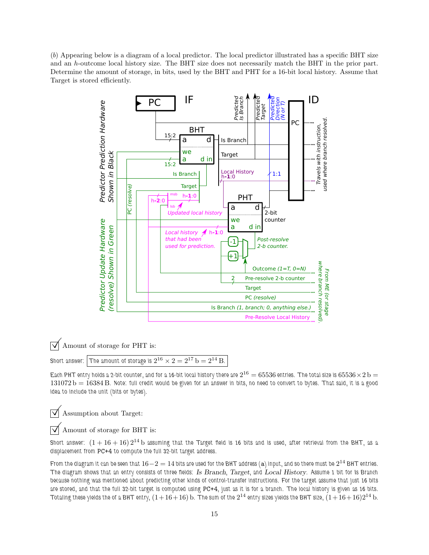(b) Appearing below is a diagram of a local predictor. The local predictor illustrated has a specific BHT size and an h-outcome local history size. The BHT size does not necessarily match the BHT in the prior part. Determine the amount of storage, in bits, used by the BHT and PHT for a 16-bit local history. Assume that Target is stored efficiently.



 $\boxed{\bigvee}$  Amount of storage for PHT is:<br>Short answer:  $\boxed{\text{The amount of storage is 2}}$ 

Short answer:  $\big\vert$  The amount of storage is  $2^{16}\times2=2^{17}$   ${\rm b}=2^{14}$   ${\rm B}.$ 

Each PHT entry holds a 2-bit counter, and for a 16-bit local history there are  $2^{16}=65536$  entries. The total size is  $65536\!\times\!2\,\rm{b} =$  $131072 b = 16384 B$ . Note: full credit would be given for an answer in bits, no need to convert to bytes. That said, it is a good idea to include the unit (bits or bytes).

 $\triangledown$  Assumption about Target:

 $\sqrt{\ }$  Amount of storage for BHT is:

Short answer:  $(1 + 16 + 16)$   $2^{14}$  b assuming that the Target field is 16 bits and is used, after retrieval from the BHT, as a displacement from PC+4 to compute the full 32-bit target address.

From the diagram it can be seen that  $16-2=14$  bits are used for the BHT address (a) input, and so there must be  $2^{14}$  BHT entries. The diagram shows that an entry consists of three fields: Is Branch, Target, and Local History. Assume 1 bit for Is Branch because nothing was mentioned about predicting other kinds of control-transfer instructions. For the target assume that just 16 bits are stored, and that the full 32-bit target is computed using PC+4, just as it is for a branch. The local history is given as 16 bits. Totaling these yields the of a BHT entry,  $(1+ 16+ 16)$  b. The sum of the  $2^{14}$  entry sizes yields the BHT size,  $(1+ 16+ 16)2^{14}$  b.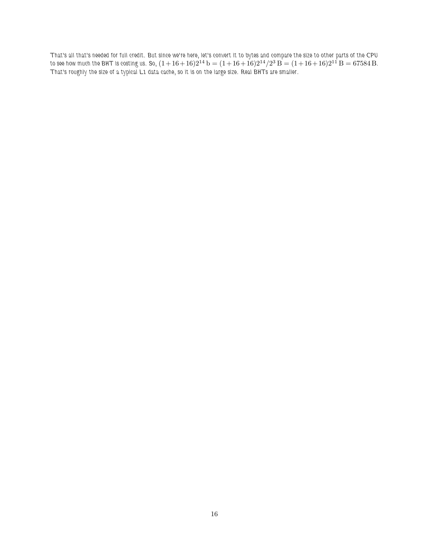That's all that's needed for full credit. But since we're here, let's convert it to bytes and compare the size to other parts of the CPU to see how much the BHT is costing us. So,  $(1+16+16)2^{14}$   ${\rm b}=(1+16+16)2^{14}/2^3$   ${\rm B}=(1+16+16)2^{11}$   ${\rm B}=67584$   ${\rm B}$ . That's roughly the size of a typical L1 data cache, so it is on the large size. Real BHTs are smaller.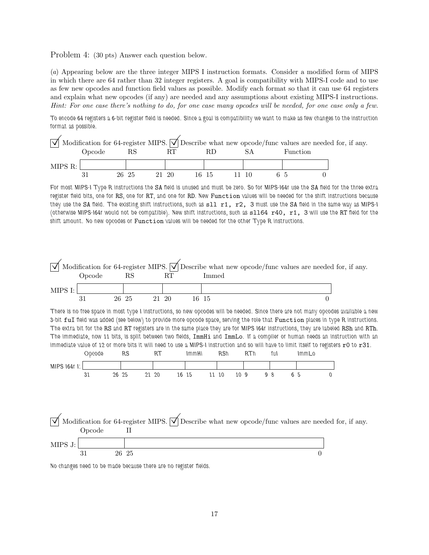Problem 4: (30 pts) Answer each question below.

(a) Appearing below are the three integer MIPS I instruction formats. Consider a modified form of MIPS in which there are 64 rather than 32 integer registers. A goal is compatibility with MIPS-I code and to use as few new opcodes and function field values as possible. Modify each format so that it can use 64 registers and explain what new opcodes (if any) are needed and any assumptions about existing MIPS-I instructions. Hint: For one case there's nothing to do, for one case many opcodes will be needed, for one case only a few.

To encode 64 registers a 6-bit register field is needed. Since a goal is compatibility we want to make as few changes to the instruction format as possible.

|         | $\sqrt{\phantom{a}}$ Modification for 64-register MIPS. $\sqrt{\phantom{a}}$ Describe what new opcode/func values are needed for, if any. |       |  |       |       |       |          |  |  |
|---------|-------------------------------------------------------------------------------------------------------------------------------------------|-------|--|-------|-------|-------|----------|--|--|
|         | Opcode                                                                                                                                    |       |  |       | RD    |       | Function |  |  |
| MIPS R: |                                                                                                                                           |       |  |       |       |       |          |  |  |
|         | 31                                                                                                                                        | 26 25 |  | 21 20 | 16 15 | 11 10 |          |  |  |

For most MIPS-I Type R instructions the SA field is unused and must be zero. So for MIPS-I64r use the SA field for the three extra register field bits, one for RS, one for RT, and one for RD. New Function values will be needed for the shift instructions because they use the SA field. The existing shift instructions, such as  $s11$   $r1$ ,  $r2$ , 3 must use the SA field in the same way as MIPS-I (otherwise MIPS-I64r would not be compatible). New shift instructions, such as sll64 r40, r1, 3 will use the RT field for the shift amount. No new opcodes or Function values will be needed for the other Type R instructions.



No changes need to be made because there are no register fields.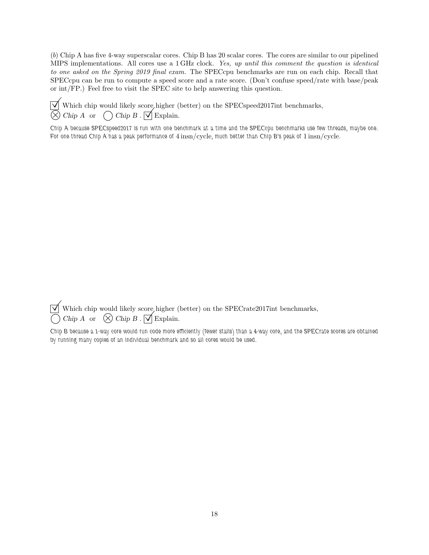(b) Chip A has five 4-way superscalar cores. Chip B has 20 scalar cores. The cores are similar to our pipelined MIPS implementations. All cores use a 1 GHz clock. Yes, up until this comment the question is identical to one asked on the Spring 2019 final exam. The SPECcpu benchmarks are run on each chip. Recall that SPECcpu can be run to compute a speed score and a rate score. (Don't confuse speed/rate with base/peak or int/FP.) Feel free to visit the SPEC site to help answering this question.

 $\sqrt{\phantom{a}}$  Which chip would likely score higher (better) on the SPECspeed2017int benchmarks,<br> $\widehat{\otimes}$  Chip A or  $\bigcap$  Chip B.  $\overline{\bigvee}$  Explain.  $\overline{\textcircled{S}}$  Chip A or  $\bigcirc$  Chip B .  $\overline{\textcircled{S}}$  Explain.

Chip A because SPECspeed2017 is run with one benchmark at a time and the SPECcpu benchmarks use few threads, maybe one. For one thread Chip A has a peak performance of 4 insn/cycle, much better than Chip B's peak of 1 insn/cycle.

 $\sqrt{\phantom{a}}$  Which chip would likely score higher (better) on the SPECrate2017int benchmarks,<br>  $\bigcap$  Chin A or  $\bigotimes$  Chin B  $\bigotimes$  Explain.  $\overline{\bigcirc}$  Chip A or  $\bigotimes$  Chip B .  $\overline{\bigcirc}$  Explain.

Chip B because a 1-way core would run code more efficiently (fewer stalls) than a 4-way core, and the SPECrate scores are obtained by running many copies of an individual benchmark and so all cores would be used.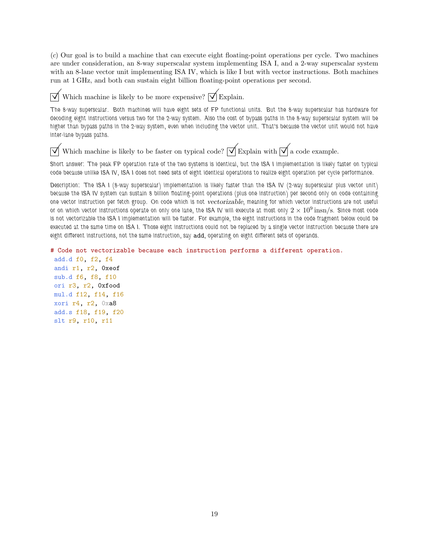(c) Our goal is to build a machine that can execute eight floating-point operations per cycle. Two machines are under consideration, an 8-way superscalar system implementing ISA I, and a 2-way superscalar system with an 8-lane vector unit implementing ISA IV, which is like I but with vector instructions. Both machines run at 1 GHz, and both can sustain eight billion floating-point operations per second.

 $\overrightarrow{\mathcal{A}}$  Which machine is likely to be more expensive?  $\overrightarrow{\mathcal{A}}$  Explain.

The 8-way superscalar. Both machines will have eight sets of FP functional units. But the 8-way superscalar has hardware for decoding eight instructions versus two for the 2-way system. Also the cost of bypass paths in the 8-way superscalar system will be higher than bypass paths in the 2-way system, even when including the vector unit. That's because the vector unit would not have inter-lane bypass paths.

 $\overrightarrow{\mathcal{A}}$  Which machine is likely to be faster on typical code?  $\overrightarrow{\mathcal{A}}$  Explain with  $\overrightarrow{\mathcal{A}}$  a code example.

Short answer: The peak FP operation rate of the two systems is identical, but the ISA I implementation is likely faster on typical code because unlike ISA IV, ISA I does not need sets of eight identical operations to realize eight operation per cycle performance.

Description: The ISA I (8-way superscalar) implementation is likely faster than the ISA IV (2-way superscalar plus vector unit) because the ISA IV system can sustain 8 billion floating-point operations (plus one instruction) per second only on code containing one vector instruction per fetch group. On code which is not vectorizable, meaning for which vector instructions are not useful or on which vector instructions operate on only one lane, the ISA IV will execute at most only  $2\times10^9\,{\rm insn/s}$ . Since most code is not vectorizable the ISA I implementation will be faster. For example, the eight instructions in the code fragment below could be executed at the same time on ISA I. Those eight instructions could not be replaced by a single vector instruction because there are eight different instructions, not the same instruction, say add, operating on eight different sets of operands.

# Code not vectorizable because each instruction performs a different operation. add.d f0, f2, f4 andi r1, r2, 0xeof sub.d f6, f8, f10 ori r3, r2, 0xfood mul.d f12, f14, f16 xori r4, r2, 0xa8 add.s f18, f19, f20 slt r9, r10, r11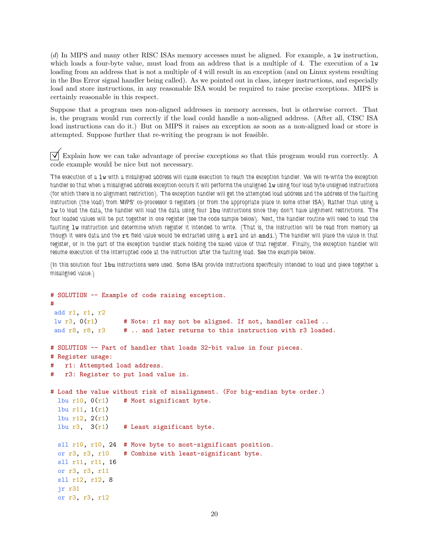(d) In MIPS and many other RISC ISAs memory accesses must be aligned. For example, a lw instruction, which loads a four-byte value, must load from an address that is a multiple of 4. The execution of a  $1w$ loading from an address that is not a multiple of 4 will result in an exception (and on Linux system resulting in the Bus Error signal handler being called). As we pointed out in class, integer instructions, and especially load and store instructions, in any reasonable ISA would be required to raise precise exceptions. MIPS is certainly reasonable in this respect.

Suppose that a program uses non-aligned addresses in memory accesses, but is otherwise correct. That is, the program would run correctly if the load could handle a non-aligned address. (After all, CISC ISA load instructions can do it.) But on MIPS it raises an exception as soon as a non-aligned load or store is attempted. Suppose further that re-writing the program is not feasible.

Explain how we can take advantage of precise exceptions so that this program would run correctly. A code example would be nice but not necessary.

The execution of a lw with a misaligned address will cause execution to reach the exception handler. We will re-write the exception handler so that when a misaligned address exception occurs it will performs the unaligned 1w using four load byte unsigned instructions (for which there is no alignment restriction). The exception handler will get the attempted load address and the address of the faulting instruction (the load) from MIPS' co-processor 0 registers (or from the appropriate place in some other ISA). Rather than using a lw to load the data, the handler will load the data using four lbu instructions since they don't have alignment restrictions. The four loaded values will be put together in one register (see the code sample below). Next, the handler routine will need to load the faulting  $1w$  instruction and determine which register it intended to write. (That is, the instruction will be read from memory as though it were data and the rt field value would be extracted using a srl and an andi.) The handler will place the value in that register, or in the part of the exception handler stack holding the saved value of that register. Finally, the exception handler will resume execution of the interrupted code at the instruction after the faulting load. See the example below.

(In this solution four 1bu instructions were used. Some ISAs provide instructions specifically intended to load and piece together a misaligned value.)

```
# SOLUTION -- Example of code raising exception.
#
add r1, r1, r2
lw r3, 0(r1) # Note: r1 may not be aligned. If not, handler called ..
and r8, r8, r3 # .. and later returns to this instruction with r3 loaded.
# SOLUTION -- Part of handler that loads 32-bit value in four pieces.
# Register usage:
# r1: Attempted load address.
# r3: Register to put load value in.
# Load the value without risk of misalignment. (For big-endian byte order.)
 lbu r10, 0(r1) # Most significant byte.
 lbu r11, 1(r1)
 lbu r12, 2(r1)
 1bu r3, 3(r1) # Least significant byte.
 sll r10, r10, 24 # Move byte to most-significant position.
 or r3, r3, r10 # Combine with least-significant byte.
 sll r11, r11, 16
 or r3, r3, r11
 sll r12, r12, 8
 jr r31
 or r3, r3, r12
```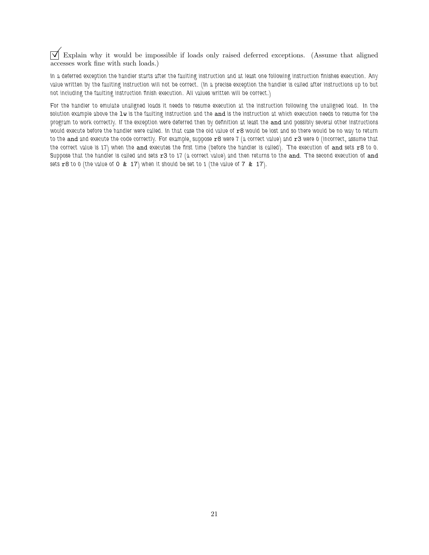$\overline{\vee}$  Explain why it would be impossible if loads only raised deferred exceptions. (Assume that aligned accesses work fine with such loads.)

In a deferred exception the handler starts after the faulting instruction and at least one following instruction finishes execution. Any value written by the faulting instruction will not be correct. (In a precise exception the handler is called after instructions up to but not including the faulting instruction finish execution. All values written will be correct.)

For the handler to emulate unaligned loads it needs to resume execution at the instruction following the unaligned load. In the solution example above the lw is the faulting instruction and the and is the instruction at which execution needs to resume for the program to work correctly. If the exception were deferred then by definition at least the and and possibly several other instructions would execute before the handler were called. In that case the old value of r8 would be lost and so there would be no way to return to the and and execute the code correctly. For example, suppose r8 were 7 (a correct value) and r3 were 0 (incorrect, assume that the correct value is 17) when the and executes the first time (before the handler is called). The execution of and sets r8 to 0. Suppose that the handler is called and sets  $r3$  to 17 (a correct value) and then returns to the and. The second execution of and sets  $r8$  to 0 (the value of 0  $\&$  17) when it should be set to 1 (the value of 7  $\&$  17).